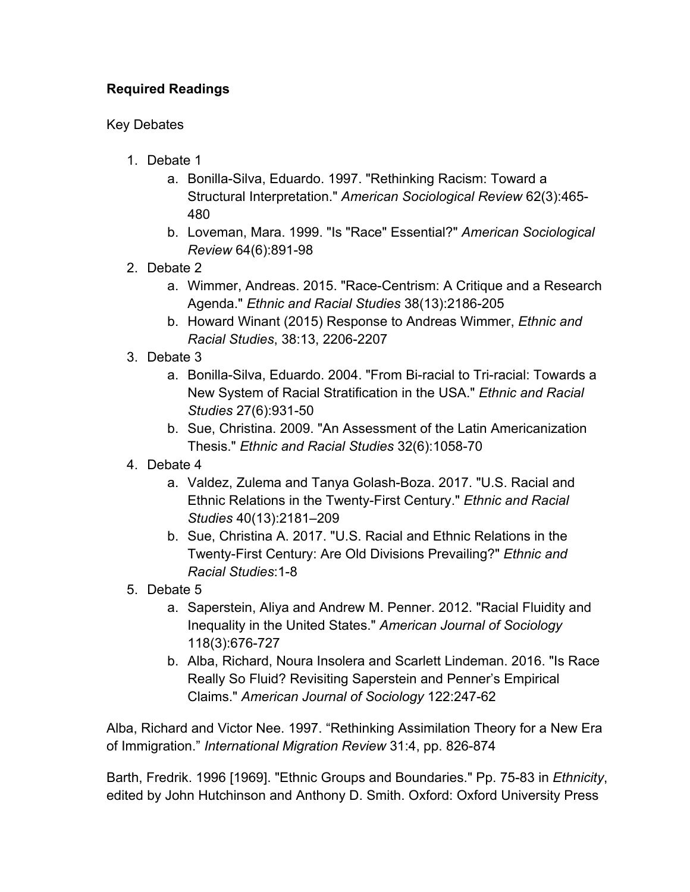## **Required Readings**

## Key Debates

- 1. Debate 1
	- a. Bonilla-Silva, Eduardo. 1997. "Rethinking Racism: Toward a Structural Interpretation." *American Sociological Review* 62(3):465- 480
	- b. Loveman, Mara. 1999. "Is "Race" Essential?" *American Sociological Review* 64(6):891-98
- 2. Debate 2
	- a. Wimmer, Andreas. 2015. "Race-Centrism: A Critique and a Research Agenda." *Ethnic and Racial Studies* 38(13):2186-205
	- b. Howard Winant (2015) Response to Andreas Wimmer, *Ethnic and Racial Studies*, 38:13, 2206-2207
- 3. Debate 3
	- a. Bonilla-Silva, Eduardo. 2004. "From Bi-racial to Tri-racial: Towards a New System of Racial Stratification in the USA." *Ethnic and Racial Studies* 27(6):931-50
	- b. Sue, Christina. 2009. "An Assessment of the Latin Americanization Thesis." *Ethnic and Racial Studies* 32(6):1058-70
- 4. Debate 4
	- a. Valdez, Zulema and Tanya Golash-Boza. 2017. "U.S. Racial and Ethnic Relations in the Twenty-First Century." *Ethnic and Racial Studies* 40(13):2181–209
	- b. Sue, Christina A. 2017. "U.S. Racial and Ethnic Relations in the Twenty-First Century: Are Old Divisions Prevailing?" *Ethnic and Racial Studies*:1-8
- 5. Debate 5
	- a. Saperstein, Aliya and Andrew M. Penner. 2012. "Racial Fluidity and Inequality in the United States." *American Journal of Sociology*  118(3):676-727
	- b. Alba, Richard, Noura Insolera and Scarlett Lindeman. 2016. "Is Race Really So Fluid? Revisiting Saperstein and Penner's Empirical Claims." *American Journal of Sociology* 122:247-62

Alba, Richard and Victor Nee. 1997. "Rethinking Assimilation Theory for a New Era of Immigration." *International Migration Review* 31:4, pp. 826-874

Barth, Fredrik. 1996 [1969]. "Ethnic Groups and Boundaries." Pp. 75-83 in *Ethnicity*, edited by John Hutchinson and Anthony D. Smith. Oxford: Oxford University Press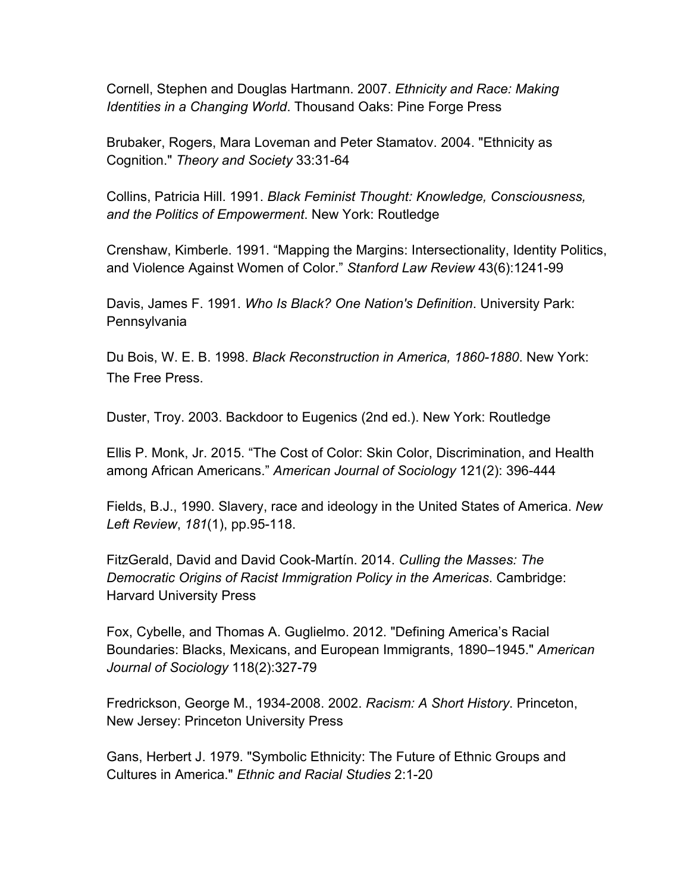Cornell, Stephen and Douglas Hartmann. 2007. *Ethnicity and Race: Making Identities in a Changing World*. Thousand Oaks: Pine Forge Press

Brubaker, Rogers, Mara Loveman and Peter Stamatov. 2004. "Ethnicity as Cognition." *Theory and Society* 33:31-64

Collins, Patricia Hill. 1991. *Black Feminist Thought: Knowledge, Consciousness, and the Politics of Empowerment*. New York: Routledge

Crenshaw, Kimberle. 1991. "Mapping the Margins: Intersectionality, Identity Politics, and Violence Against Women of Color." *Stanford Law Review* 43(6):1241-99

Davis, James F. 1991. *Who Is Black? One Nation's Definition*. University Park: Pennsylvania

Du Bois, W. E. B. 1998. *Black Reconstruction in America, 1860-1880*. New York: The Free Press.

Duster, Troy. 2003. Backdoor to Eugenics (2nd ed.). New York: Routledge

Ellis P. Monk, Jr. 2015. "The Cost of Color: Skin Color, Discrimination, and Health among African Americans." *American Journal of Sociology* 121(2): 396-444

Fields, B.J., 1990. Slavery, race and ideology in the United States of America. *New Left Review*, *181*(1), pp.95-118.

FitzGerald, David and David Cook-Martín. 2014. *Culling the Masses: The Democratic Origins of Racist Immigration Policy in the Americas*. Cambridge: Harvard University Press

Fox, Cybelle, and Thomas A. Guglielmo. 2012. "Defining America's Racial Boundaries: Blacks, Mexicans, and European Immigrants, 1890–1945." *American Journal of Sociology* 118(2):327-79

Fredrickson, George M., 1934-2008. 2002. *Racism: A Short History*. Princeton, New Jersey: Princeton University Press

Gans, Herbert J. 1979. "Symbolic Ethnicity: The Future of Ethnic Groups and Cultures in America." *Ethnic and Racial Studies* 2:1-20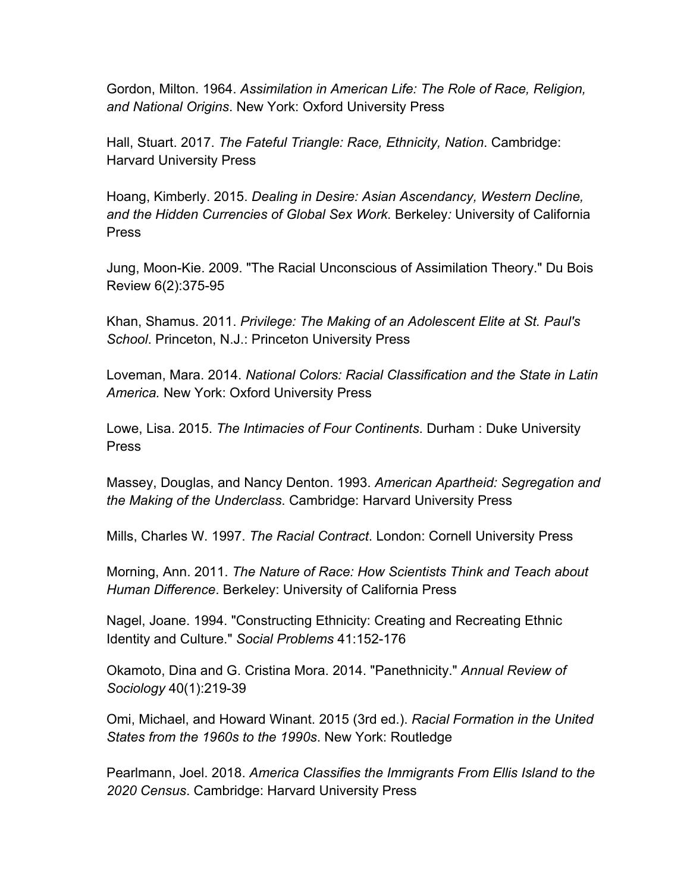Gordon, Milton. 1964. *Assimilation in American Life: The Role of Race, Religion, and National Origins*. New York: Oxford University Press

Hall, Stuart. 2017. *The Fateful Triangle: Race, Ethnicity, Nation*. Cambridge: Harvard University Press

Hoang, Kimberly. 2015. *Dealing in Desire: Asian Ascendancy, Western Decline, and the Hidden Currencies of Global Sex Work.* Berkeley*:* University of California Press

Jung, Moon-Kie. 2009. "The Racial Unconscious of Assimilation Theory." Du Bois Review 6(2):375-95

Khan, Shamus. 2011. *Privilege: The Making of an Adolescent Elite at St. Paul's School*. Princeton, N.J.: Princeton University Press

Loveman, Mara. 2014. *National Colors: Racial Classification and the State in Latin America.* New York: Oxford University Press

Lowe, Lisa. 2015. *The Intimacies of Four Continents*. Durham : Duke University Press

Massey, Douglas, and Nancy Denton. 1993. *American Apartheid: Segregation and the Making of the Underclass*. Cambridge: Harvard University Press

Mills, Charles W. 1997. *The Racial Contract*. London: Cornell University Press

Morning, Ann. 2011. *The Nature of Race: How Scientists Think and Teach about Human Difference*. Berkeley: University of California Press

Nagel, Joane. 1994. "Constructing Ethnicity: Creating and Recreating Ethnic Identity and Culture." *Social Problems* 41:152-176

Okamoto, Dina and G. Cristina Mora. 2014. "Panethnicity." *Annual Review of Sociology* 40(1):219-39

Omi, Michael, and Howard Winant. 2015 (3rd ed.). *Racial Formation in the United States from the 1960s to the 1990s*. New York: Routledge

Pearlmann, Joel. 2018. *America Classifies the Immigrants From Ellis Island to the 2020 Census*. Cambridge: Harvard University Press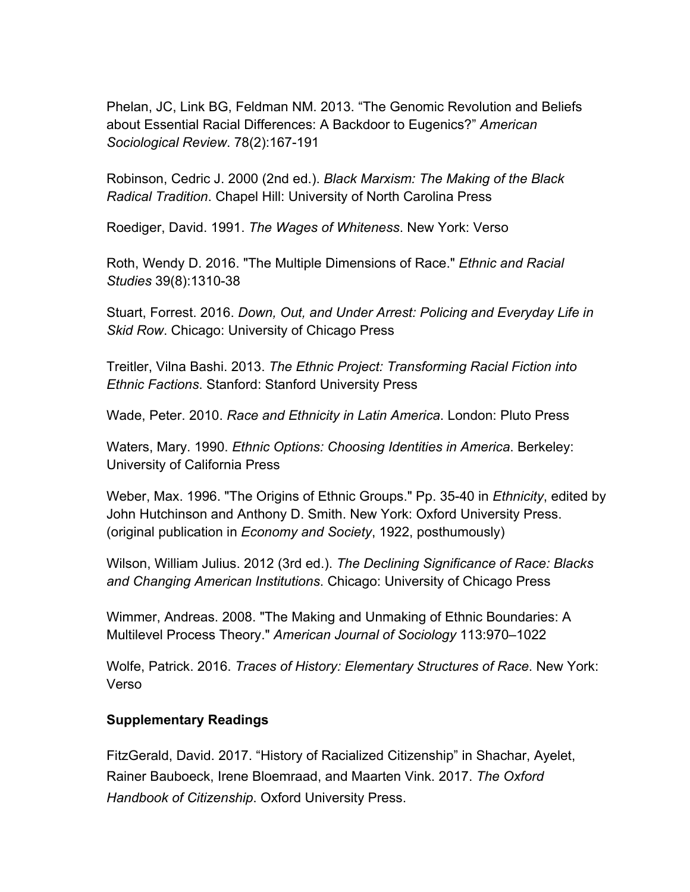Phelan, JC, Link BG, Feldman NM. 2013. "The Genomic Revolution and Beliefs about Essential Racial Differences: A Backdoor to Eugenics?" *American Sociological Review*. 78(2):167-191

Robinson, Cedric J. 2000 (2nd ed.). *Black Marxism: The Making of the Black Radical Tradition*. Chapel Hill: University of North Carolina Press

Roediger, David. 1991. *The Wages of Whiteness*. New York: Verso

Roth, Wendy D. 2016. "The Multiple Dimensions of Race." *Ethnic and Racial Studies* 39(8):1310-38

Stuart, Forrest. 2016. *Down, Out, and Under Arrest: Policing and Everyday Life in Skid Row*. Chicago: University of Chicago Press

Treitler, Vilna Bashi. 2013. *The Ethnic Project: Transforming Racial Fiction into Ethnic Factions*. Stanford: Stanford University Press

Wade, Peter. 2010. *Race and Ethnicity in Latin America*. London: Pluto Press

Waters, Mary. 1990. *Ethnic Options: Choosing Identities in America*. Berkeley: University of California Press

Weber, Max. 1996. "The Origins of Ethnic Groups." Pp. 35-40 in *Ethnicity*, edited by John Hutchinson and Anthony D. Smith. New York: Oxford University Press. (original publication in *Economy and Society*, 1922, posthumously)

Wilson, William Julius. 2012 (3rd ed.). *The Declining Significance of Race: Blacks and Changing American Institutions*. Chicago: University of Chicago Press

Wimmer, Andreas. 2008. "The Making and Unmaking of Ethnic Boundaries: A Multilevel Process Theory." *American Journal of Sociology* 113:970–1022

Wolfe, Patrick. 2016. *Traces of History: Elementary Structures of Race*. New York: Verso

## **Supplementary Readings**

FitzGerald, David. 2017. "History of Racialized Citizenship" in Shachar, Ayelet, Rainer Bauboeck, Irene Bloemraad, and Maarten Vink. 2017. *The Oxford Handbook of Citizenship*. Oxford University Press.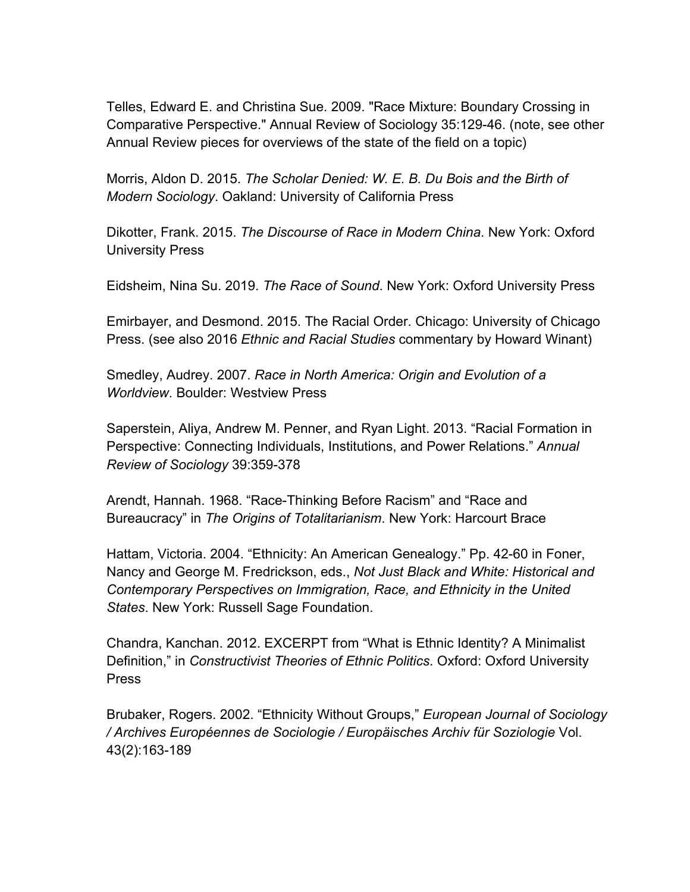Telles, Edward E. and Christina Sue. 2009. "Race Mixture: Boundary Crossing in Comparative Perspective." Annual Review of Sociology 35:129-46. (note, see other Annual Review pieces for overviews of the state of the field on a topic)

Morris, Aldon D. 2015. *The Scholar Denied: W. E. B. Du Bois and the Birth of Modern Sociology*. Oakland: University of California Press

Dikotter, Frank. 2015. *The Discourse of Race in Modern China*. New York: Oxford University Press

Eidsheim, Nina Su. 2019. *The Race of Sound*. New York: Oxford University Press

Emirbayer, and Desmond. 2015. The Racial Order. Chicago: University of Chicago Press. (see also 2016 *Ethnic and Racial Studies* commentary by Howard Winant)

Smedley, Audrey. 2007. *Race in North America: Origin and Evolution of a Worldview*. Boulder: Westview Press

Saperstein, Aliya, Andrew M. Penner, and Ryan Light. 2013. "Racial Formation in Perspective: Connecting Individuals, Institutions, and Power Relations." *Annual Review of Sociology* 39:359-378

Arendt, Hannah. 1968. "Race-Thinking Before Racism" and "Race and Bureaucracy" in *The Origins of Totalitarianism*. New York: Harcourt Brace

Hattam, Victoria. 2004. "Ethnicity: An American Genealogy." Pp. 42-60 in Foner, Nancy and George M. Fredrickson, eds., *Not Just Black and White: Historical and Contemporary Perspectives on Immigration, Race, and Ethnicity in the United States*. New York: Russell Sage Foundation.

Chandra, Kanchan. 2012. EXCERPT from "What is Ethnic Identity? A Minimalist Definition," in *Constructivist Theories of Ethnic Politics*. Oxford: Oxford University Press

Brubaker, Rogers. 2002. "Ethnicity Without Groups," *European Journal of Sociology / Archives Européennes de Sociologie / Europäisches Archiv für Soziologie* Vol. 43(2):163-189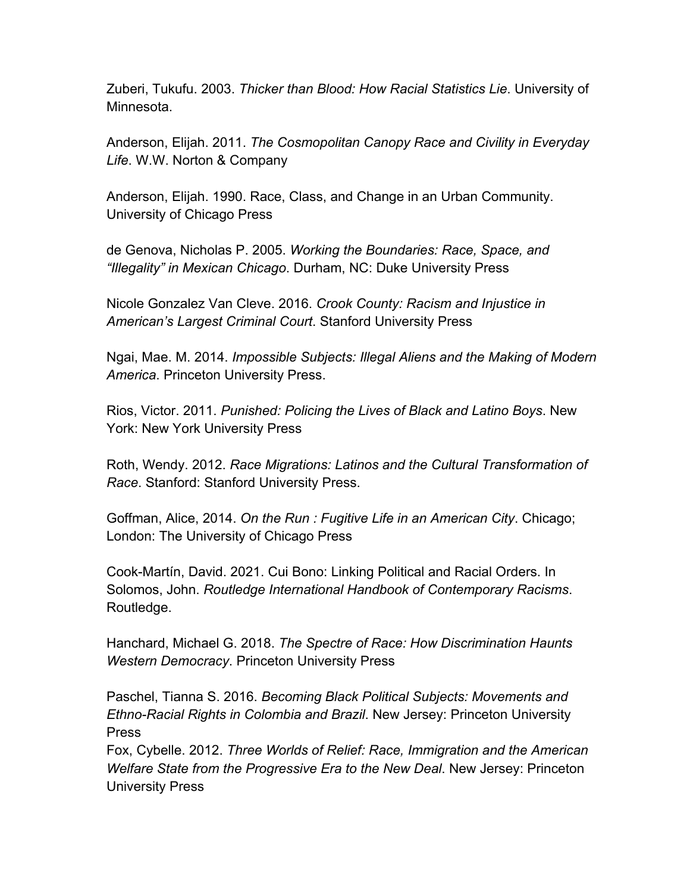Zuberi, Tukufu. 2003. *Thicker than Blood: How Racial Statistics Lie*. University of Minnesota.

Anderson, Elijah. 2011. *The Cosmopolitan Canopy Race and Civility in Everyday Life*. W.W. Norton & Company

Anderson, Elijah. 1990. Race, Class, and Change in an Urban Community. University of Chicago Press

de Genova, Nicholas P. 2005. *Working the Boundaries: Race, Space, and "Illegality" in Mexican Chicago*. Durham, NC: Duke University Press

Nicole Gonzalez Van Cleve. 2016. *Crook County: Racism and Injustice in American's Largest Criminal Court*. Stanford University Press

Ngai, Mae. M. 2014. *Impossible Subjects: Illegal Aliens and the Making of Modern America*. Princeton University Press.

Rios, Victor. 2011. *Punished: Policing the Lives of Black and Latino Boys*. New York: New York University Press

Roth, Wendy. 2012. *Race Migrations: Latinos and the Cultural Transformation of Race*. Stanford: Stanford University Press.

Goffman, Alice, 2014. *On the Run : Fugitive Life in an American City*. Chicago; London: The University of Chicago Press

Cook-Martín, David. 2021. Cui Bono: Linking Political and Racial Orders. In Solomos, John. *Routledge International Handbook of Contemporary Racisms*. Routledge.

Hanchard, Michael G. 2018. *The Spectre of Race: How Discrimination Haunts Western Democracy*. Princeton University Press

Paschel, Tianna S. 2016. *Becoming Black Political Subjects: Movements and Ethno-Racial Rights in Colombia and Brazil*. New Jersey: Princeton University Press

Fox, Cybelle. 2012. *Three Worlds of Relief: Race, Immigration and the American Welfare State from the Progressive Era to the New Deal*. New Jersey: Princeton University Press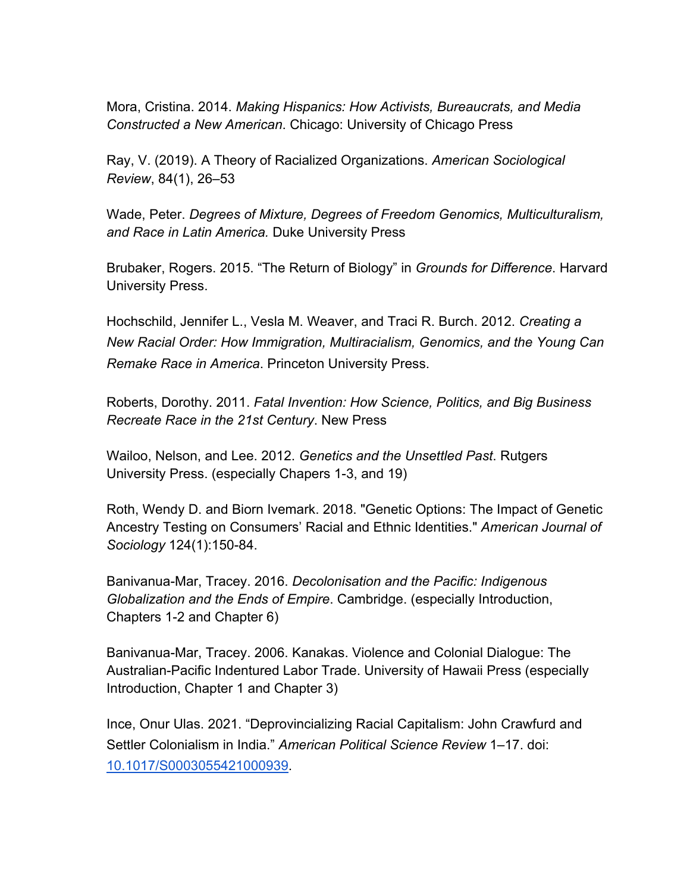Mora, Cristina. 2014. *Making Hispanics: How Activists, Bureaucrats, and Media Constructed a New American*. Chicago: University of Chicago Press

Ray, V. (2019). A Theory of Racialized Organizations. *American Sociological Review*, 84(1), 26–53

Wade, Peter. *Degrees of Mixture, Degrees of Freedom Genomics, Multiculturalism, and Race in Latin America.* Duke University Press

Brubaker, Rogers. 2015. "The Return of Biology" in *Grounds for Difference*. Harvard University Press.

Hochschild, Jennifer L., Vesla M. Weaver, and Traci R. Burch. 2012. *Creating a New Racial Order: How Immigration, Multiracialism, Genomics, and the Young Can Remake Race in America*. Princeton University Press.

Roberts, Dorothy. 2011. *Fatal Invention: How Science, Politics, and Big Business Recreate Race in the 21st Century*. New Press

Wailoo, Nelson, and Lee. 2012. *Genetics and the Unsettled Past*. Rutgers University Press. (especially Chapers 1-3, and 19)

Roth, Wendy D. and Biorn Ivemark. 2018. "Genetic Options: The Impact of Genetic Ancestry Testing on Consumers' Racial and Ethnic Identities." *American Journal of Sociology* 124(1):150-84.

Banivanua-Mar, Tracey. 2016. *Decolonisation and the Pacific: Indigenous Globalization and the Ends of Empire*. Cambridge. (especially Introduction, Chapters 1-2 and Chapter 6)

Banivanua-Mar, Tracey. 2006. Kanakas. Violence and Colonial Dialogue: The Australian-Pacific Indentured Labor Trade. University of Hawaii Press (especially Introduction, Chapter 1 and Chapter 3)

Ince, Onur Ulas. 2021. "Deprovincializing Racial Capitalism: John Crawfurd and Settler Colonialism in India." *American Political Science Review* 1–17. doi: 10.1017/S0003055421000939.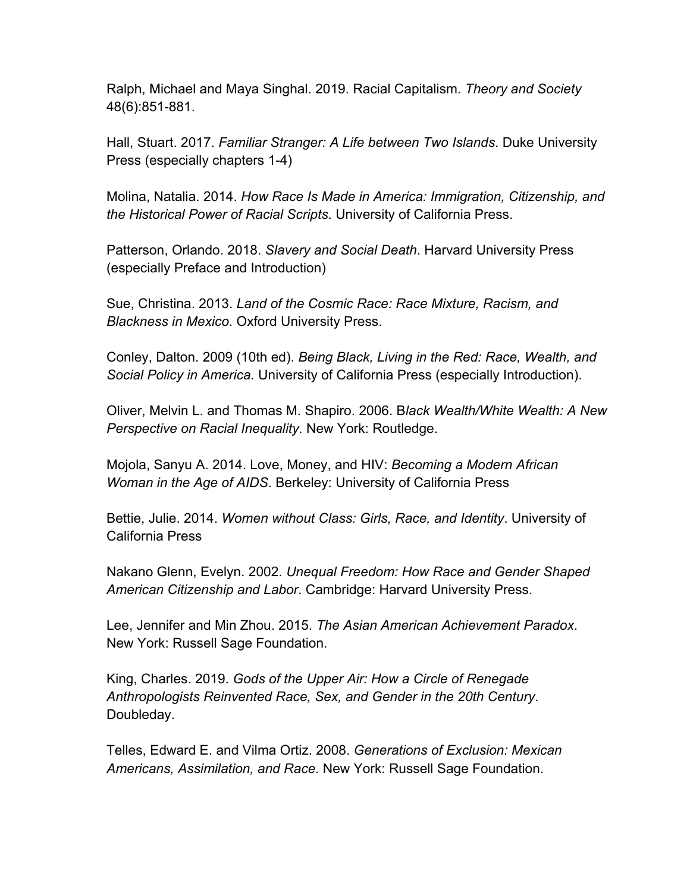Ralph, Michael and Maya Singhal. 2019. Racial Capitalism. *Theory and Society*  48(6):851-881.

Hall, Stuart. 2017. *Familiar Stranger: A Life between Two Islands*. Duke University Press (especially chapters 1-4)

Molina, Natalia. 2014. *How Race Is Made in America: Immigration, Citizenship, and the Historical Power of Racial Scripts*. University of California Press.

Patterson, Orlando. 2018. *Slavery and Social Death*. Harvard University Press (especially Preface and Introduction)

Sue, Christina. 2013. *Land of the Cosmic Race: Race Mixture, Racism, and Blackness in Mexico*. Oxford University Press.

Conley, Dalton. 2009 (10th ed). *Being Black, Living in the Red: Race, Wealth, and Social Policy in America.* University of California Press (especially Introduction).

Oliver, Melvin L. and Thomas M. Shapiro. 2006. B*lack Wealth/White Wealth: A New Perspective on Racial Inequality*. New York: Routledge.

Mojola, Sanyu A. 2014. Love, Money, and HIV: *Becoming a Modern African Woman in the Age of AIDS*. Berkeley: University of California Press

Bettie, Julie. 2014. *Women without Class: Girls, Race, and Identity*. University of California Press

Nakano Glenn, Evelyn. 2002. *Unequal Freedom: How Race and Gender Shaped American Citizenship and Labor*. Cambridge: Harvard University Press.

Lee, Jennifer and Min Zhou. 2015. *The Asian American Achievement Paradox*. New York: Russell Sage Foundation.

King, Charles. 2019. *Gods of the Upper Air: How a Circle of Renegade Anthropologists Reinvented Race, Sex, and Gender in the 20th Century*. Doubleday.

Telles, Edward E. and Vilma Ortiz. 2008. *Generations of Exclusion: Mexican Americans, Assimilation, and Race*. New York: Russell Sage Foundation.